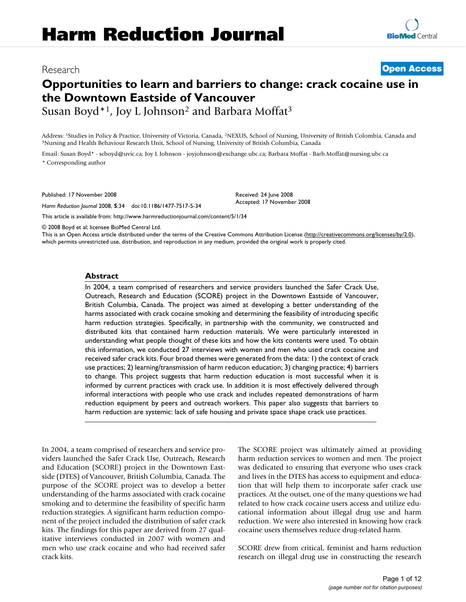# Research **[Open Access](http://www.biomedcentral.com/info/about/charter/)**

# **Opportunities to learn and barriers to change: crack cocaine use in the Downtown Eastside of Vancouver**

Susan Boyd\*1, Joy L Johnson2 and Barbara Moffat3

Address: <sup>1</sup>Studies in Policy & Practice, University of Victoria, Canada, <sup>2</sup>NEXUS, School of Nursing, University of British Colombia, Canada and <sup>3</sup>Nursing and Health Behaviour Research Unit, School of Nursing, University

Email: Susan Boyd\* - scboyd@uvic.ca; Joy L Johnson - joyjohnson@exchange.ubc.ca; Barbara Moffat - Barb.Moffat@nursing.ubc.ca \* Corresponding author

Published: 17 November 2008

*Harm Reduction Journal* 2008, **5**:34 doi:10.1186/1477-7517-5-34

Received: 24 June 2008 Accepted: 17 November 2008

[This article is available from: http://www.harmreductionjournal.com/content/5/1/34](http://www.harmreductionjournal.com/content/5/1/34)

© 2008 Boyd et al; licensee BioMed Central Ltd.

This is an Open Access article distributed under the terms of the Creative Commons Attribution License [\(http://creativecommons.org/licenses/by/2.0\)](http://creativecommons.org/licenses/by/2.0), which permits unrestricted use, distribution, and reproduction in any medium, provided the original work is properly cited.

#### **Abstract**

In 2004, a team comprised of researchers and service providers launched the Safer Crack Use, Outreach, Research and Education (SCORE) project in the Downtown Eastside of Vancouver, British Columbia, Canada. The project was aimed at developing a better understanding of the harms associated with crack cocaine smoking and determining the feasibility of introducing specific harm reduction strategies. Specifically, in partnership with the community, we constructed and distributed kits that contained harm reduction materials. We were particularly interested in understanding what people thought of these kits and how the kits contents were used. To obtain this information, we conducted 27 interviews with women and men who used crack cocaine and received safer crack kits. Four broad themes were generated from the data: 1) the context of crack use practices; 2) learning/transmission of harm reducon education; 3) changing practice; 4) barriers to change. This project suggests that harm reduction education is most successful when it is informed by current practices with crack use. In addition it is most effectively delivered through informal interactions with people who use crack and includes repeated demonstrations of harm reduction equipment by peers and outreach workers. This paper also suggests that barriers to harm reduction are systemic: lack of safe housing and private space shape crack use practices.

In 2004, a team comprised of researchers and service providers launched the Safer Crack Use, Outreach, Research and Education (SCORE) project in the Downtown Eastside (DTES) of Vancouver, British Columbia, Canada. The purpose of the SCORE project was to develop a better understanding of the harms associated with crack cocaine smoking and to determine the feasibility of specific harm reduction strategies. A significant harm reduction component of the project included the distribution of safer crack kits. The findings for this paper are derived from 27 qualitative interviews conducted in 2007 with women and men who use crack cocaine and who had received safer crack kits.

The SCORE project was ultimately aimed at providing harm reduction services to women and men. The project was dedicated to ensuring that everyone who uses crack and lives in the DTES has access to equipment and education that will help them to incorporate safer crack use practices. At the outset, one of the many questions we had related to how crack cocaine users access and utilize educational information about illegal drug use and harm reduction. We were also interested in knowing how crack cocaine users themselves reduce drug-related harm.

SCORE drew from critical, feminist and harm reduction research on illegal drug use in constructing the research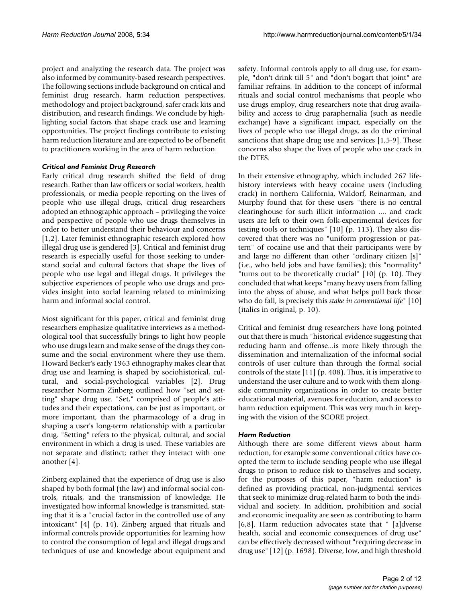project and analyzing the research data. The project was also informed by community-based research perspectives. The following sections include background on critical and feminist drug research, harm reduction perspectives, methodology and project background, safer crack kits and distribution, and research findings. We conclude by highlighting social factors that shape crack use and learning opportunities. The project findings contribute to existing harm reduction literature and are expected to be of benefit to practitioners working in the area of harm reduction.

#### *Critical and Feminist Drug Research*

Early critical drug research shifted the field of drug research. Rather than law officers or social workers, health professionals, or media people reporting on the lives of people who use illegal drugs, critical drug researchers adopted an ethnographic approach – privileging the voice and perspective of people who use drugs themselves in order to better understand their behaviour and concerns [1,2]. Later feminist ethnographic research explored how illegal drug use is gendered [3]. Critical and feminist drug research is especially useful for those seeking to understand social and cultural factors that shape the lives of people who use legal and illegal drugs. It privileges the subjective experiences of people who use drugs and provides insight into social learning related to minimizing harm and informal social control.

Most significant for this paper, critical and feminist drug researchers emphasize qualitative interviews as a methodological tool that successfully brings to light how people who use drugs learn and make sense of the drugs they consume and the social environment where they use them. Howard Becker's early 1963 ethnography makes clear that drug use and learning is shaped by sociohistorical, cultural, and social-psychological variables [2]. Drug researcher Norman Zinberg outlined how "set and setting" shape drug use. "Set," comprised of people's attitudes and their expectations, can be just as important, or more important, than the pharmacology of a drug in shaping a user's long-term relationship with a particular drug. "Setting" refers to the physical, cultural, and social environment in which a drug is used. These variables are not separate and distinct; rather they interact with one another [4].

Zinberg explained that the experience of drug use is also shaped by both formal (the law) and informal social controls, rituals, and the transmission of knowledge. He investigated how informal knowledge is transmitted, stating that it is a "crucial factor in the controlled use of any intoxicant" [4] (p. 14). Zinberg argued that rituals and informal controls provide opportunities for learning how to control the consumption of legal and illegal drugs and techniques of use and knowledge about equipment and

safety. Informal controls apply to all drug use, for example, "don't drink till 5" and "don't bogart that joint" are familiar refrains. In addition to the concept of informal rituals and social control mechanisms that people who use drugs employ, drug researchers note that drug availability and access to drug paraphernalia (such as needle exchange) have a significant impact, especially on the lives of people who use illegal drugs, as do the criminal sanctions that shape drug use and services [1,5-9]. These concerns also shape the lives of people who use crack in the DTES.

In their extensive ethnography, which included 267 lifehistory interviews with heavy cocaine users (including crack) in northern California, Waldorf, Reinarman, and Murphy found that for these users "there is no central clearinghouse for such illicit information .... and crack users are left to their own folk-experimental devices for testing tools or techniques" [10] (p. 113). They also discovered that there was no "uniform progression or pattern" of cocaine use and that their participants were by and large no different than other "ordinary citizen [s]" (i.e., who held jobs and have families); this "normality" "turns out to be theoretically crucial" [10] (p. 10). They concluded that what keeps "many heavy users from falling into the abyss of abuse, and what helps pull back those who do fall, is precisely this *stake in conventional life*" [10] (italics in original, p. 10).

Critical and feminist drug researchers have long pointed out that there is much "historical evidence suggesting that reducing harm and offense...is more likely through the dissemination and internalization of the informal social controls of user culture than through the formal social controls of the state [11] (p. 408). Thus, it is imperative to understand the user culture and to work with them alongside community organizations in order to create better educational material, avenues for education, and access to harm reduction equipment. This was very much in keeping with the vision of the SCORE project.

#### *Harm Reduction*

Although there are some different views about harm reduction, for example some conventional critics have coopted the term to include sending people who use illegal drugs to prison to reduce risk to themselves and society, for the purposes of this paper, "harm reduction" is defined as providing practical, non-judgmental services that seek to minimize drug-related harm to both the individual and society. In addition, prohibition and social and economic inequality are seen as contributing to harm [6,8]. Harm reduction advocates state that " [a]dverse health, social and economic consequences of drug use" can be effectively decreased without "requiring decrease in drug use" [12] (p. 1698). Diverse, low, and high threshold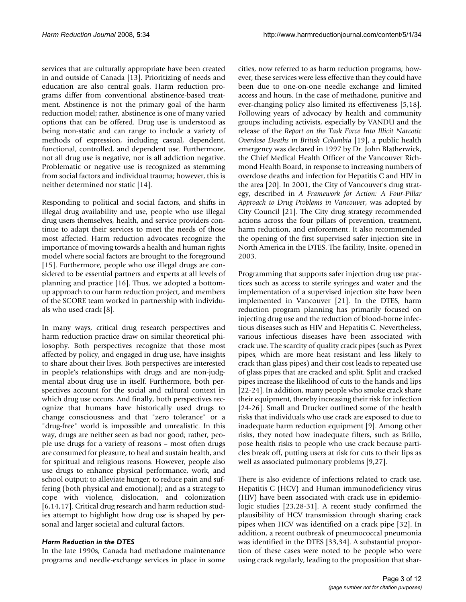services that are culturally appropriate have been created in and outside of Canada [13]. Prioritizing of needs and education are also central goals. Harm reduction programs differ from conventional abstinence-based treatment. Abstinence is not the primary goal of the harm reduction model; rather, abstinence is one of many varied options that can be offered. Drug use is understood as being non-static and can range to include a variety of methods of expression, including casual, dependent, functional, controlled, and dependent use. Furthermore, not all drug use is negative, nor is all addiction negative. Problematic or negative use is recognized as stemming from social factors and individual trauma; however, this is neither determined nor static [14].

Responding to political and social factors, and shifts in illegal drug availability and use, people who use illegal drug users themselves, health, and service providers continue to adapt their services to meet the needs of those most affected. Harm reduction advocates recognize the importance of moving towards a health and human rights model where social factors are brought to the foreground [15]. Furthermore, people who use illegal drugs are considered to be essential partners and experts at all levels of planning and practice [16]. Thus, we adopted a bottomup approach to our harm reduction project, and members of the SCORE team worked in partnership with individuals who used crack [8].

In many ways, critical drug research perspectives and harm reduction practice draw on similar theoretical philosophy. Both perspectives recognize that those most affected by policy, and engaged in drug use, have insights to share about their lives. Both perspectives are interested in people's relationships with drugs and are non-judgmental about drug use in itself. Furthermore, both perspectives account for the social and cultural context in which drug use occurs. And finally, both perspectives recognize that humans have historically used drugs to change consciousness and that "zero tolerance" or a "drug-free" world is impossible and unrealistic. In this way, drugs are neither seen as bad nor good; rather, people use drugs for a variety of reasons – most often drugs are consumed for pleasure, to heal and sustain health, and for spiritual and religious reasons. However, people also use drugs to enhance physical performance, work, and school output; to alleviate hunger; to reduce pain and suffering (both physical and emotional); and as a strategy to cope with violence, dislocation, and colonization [6,14,17]. Critical drug research and harm reduction studies attempt to highlight how drug use is shaped by personal and larger societal and cultural factors.

#### *Harm Reduction in the DTES*

In the late 1990s, Canada had methadone maintenance programs and needle-exchange services in place in some

cities, now referred to as harm reduction programs; however, these services were less effective than they could have been due to one-on-one needle exchange and limited access and hours. In the case of methadone, punitive and ever-changing policy also limited its effectiveness [5,18]. Following years of advocacy by health and community groups including activists, especially by VANDU and the release of the *Report on the Task Force Into Illicit Narcotic Overdose Deaths in British Columbia* [19], a public health emergency was declared in 1997 by Dr. John Blatherwick, the Chief Medical Health Officer of the Vancouver Richmond Health Board, in response to increasing numbers of overdose deaths and infection for Hepatitis C and HIV in the area [20]. In 2001, the City of Vancouver's drug strategy, described in *A Framework for Action: A Four-Pillar Approach to Drug Problems in Vancouver*, was adopted by City Council [21]. The City drug strategy recommended actions across the four pillars of prevention, treatment, harm reduction, and enforcement. It also recommended the opening of the first supervised safer injection site in North America in the DTES. The facility, Insite, opened in 2003.

Programming that supports safer injection drug use practices such as access to sterile syringes and water and the implementation of a supervised injection site have been implemented in Vancouver [21]. In the DTES, harm reduction program planning has primarily focused on injecting drug use and the reduction of blood-borne infectious diseases such as HIV and Hepatitis C. Nevertheless, various infectious diseases have been associated with crack use. The scarcity of quality crack pipes (such as Pyrex pipes, which are more heat resistant and less likely to crack than glass pipes) and their cost leads to repeated use of glass pipes that are cracked and split. Split and cracked pipes increase the likelihood of cuts to the hands and lips [22-24]. In addition, many people who smoke crack share their equipment, thereby increasing their risk for infection [24-26]. Small and Drucker outlined some of the health risks that individuals who use crack are exposed to due to inadequate harm reduction equipment [9]. Among other risks, they noted how inadequate filters, such as Brillo, pose health risks to people who use crack because particles break off, putting users at risk for cuts to their lips as well as associated pulmonary problems [9,27].

There is also evidence of infections related to crack use. Hepatitis C (HCV) and Human immunodeficiency virus (HIV) have been associated with crack use in epidemiologic studies [23,28-31]. A recent study confirmed the plausibility of HCV transmission through sharing crack pipes when HCV was identified on a crack pipe [32]. In addition, a recent outbreak of pneumococcal pneumonia was identified in the DTES [33,34]. A substantial proportion of these cases were noted to be people who were using crack regularly, leading to the proposition that shar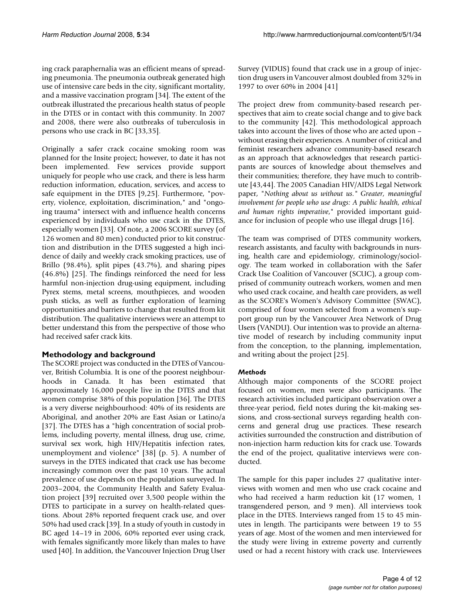ing crack paraphernalia was an efficient means of spreading pneumonia. The pneumonia outbreak generated high use of intensive care beds in the city, significant mortality, and a massive vaccination program [34]. The extent of the outbreak illustrated the precarious health status of people in the DTES or in contact with this community. In 2007 and 2008, there were also outbreaks of tuberculosis in persons who use crack in BC [33,35].

Originally a safer crack cocaine smoking room was planned for the Insite project; however, to date it has not been implemented. Few services provide support uniquely for people who use crack, and there is less harm reduction information, education, services, and access to safe equipment in the DTES [9,25]. Furthermore, "poverty, violence, exploitation, discrimination," and "ongoing trauma" intersect with and influence health concerns experienced by individuals who use crack in the DTES, especially women [33]. Of note, a 2006 SCORE survey (of 126 women and 80 men) conducted prior to kit construction and distribution in the DTES suggested a high incidence of daily and weekly crack smoking practices, use of Brillo (98.4%), split pipes (43.7%), and sharing pipes (46.8%) [25]. The findings reinforced the need for less harmful non-injection drug-using equipment, including Pyrex stems, metal screens, mouthpieces, and wooden push sticks, as well as further exploration of learning opportunities and barriers to change that resulted from kit distribution. The qualitative interviews were an attempt to better understand this from the perspective of those who had received safer crack kits.

# **Methodology and background**

The SCORE project was conducted in the DTES of Vancouver, British Columbia. It is one of the poorest neighbourhoods in Canada. It has been estimated that approximately 16,000 people live in the DTES and that women comprise 38% of this population [36]. The DTES is a very diverse neighbourhood: 40% of its residents are Aboriginal, and another 20% are East Asian or Latino/a [37]. The DTES has a "high concentration of social problems, including poverty, mental illness, drug use, crime, survival sex work, high HIV/Hepatitis infection rates, unemployment and violence" [38] (p. 5). A number of surveys in the DTES indicated that crack use has become increasingly common over the past 10 years. The actual prevalence of use depends on the population surveyed. In 2003–2004, the Community Health and Safety Evaluation project [39] recruited over 3,500 people within the DTES to participate in a survey on health-related questions. About 28% reported frequent crack use, and over 50% had used crack [39]. In a study of youth in custody in BC aged 14–19 in 2006, 60% reported ever using crack, with females significantly more likely than males to have used [40]. In addition, the Vancouver Injection Drug User Survey (VIDUS) found that crack use in a group of injection drug users in Vancouver almost doubled from 32% in 1997 to over 60% in 2004 [41]

The project drew from community-based research perspectives that aim to create social change and to give back to the community [42]. This methodological approach takes into account the lives of those who are acted upon – without erasing their experiences. A number of critical and feminist researchers advance community-based research as an approach that acknowledges that research participants are sources of knowledge about themselves and their communities; therefore, they have much to contribute [43,44]. The 2005 Canadian HIV/AIDS Legal Network paper, "*Nothing about us without us." Greater, meaningful involvement for people who use drugs: A public health, ethical and human rights imperative*," provided important guidance for inclusion of people who use illegal drugs [16].

The team was comprised of DTES community workers, research assistants, and faculty with backgrounds in nursing, health care and epidemiology, criminology/sociology. The team worked in collaboration with the Safer Crack Use Coalition of Vancouver (SCUC), a group comprised of community outreach workers, women and men who used crack cocaine, and health care providers, as well as the SCORE's Women's Advisory Committee (SWAC), comprised of four women selected from a women's support group run by the Vancouver Area Network of Drug Users (VANDU). Our intention was to provide an alternative model of research by including community input from the conception, to the planning, implementation, and writing about the project [25].

#### *Methods*

Although major components of the SCORE project focused on women, men were also participants. The research activities included participant observation over a three-year period, field notes during the kit-making sessions, and cross-sectional surveys regarding health concerns and general drug use practices. These research activities surrounded the construction and distribution of non-injection harm reduction kits for crack use. Towards the end of the project, qualitative interviews were conducted.

The sample for this paper includes 27 qualitative interviews with women and men who use crack cocaine and who had received a harm reduction kit (17 women, 1 transgendered person, and 9 men). All interviews took place in the DTES. Interviews ranged from 15 to 45 minutes in length. The participants were between 19 to 55 years of age. Most of the women and men interviewed for the study were living in extreme poverty and currently used or had a recent history with crack use. Interviewees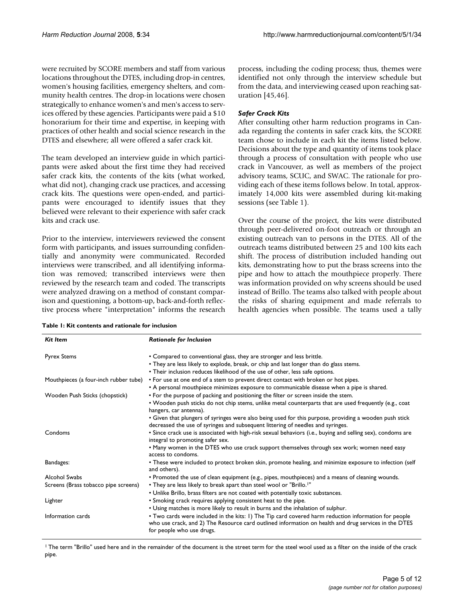were recruited by SCORE members and staff from various locations throughout the DTES, including drop-in centres, women's housing facilities, emergency shelters, and community health centres. The drop-in locations were chosen strategically to enhance women's and men's access to services offered by these agencies. Participants were paid a \$10 honorarium for their time and expertise, in keeping with practices of other health and social science research in the DTES and elsewhere; all were offered a safer crack kit.

The team developed an interview guide in which participants were asked about the first time they had received safer crack kits, the contents of the kits (what worked, what did not), changing crack use practices, and accessing crack kits. The questions were open-ended, and participants were encouraged to identify issues that they believed were relevant to their experience with safer crack kits and crack use.

Prior to the interview, interviewers reviewed the consent form with participants, and issues surrounding confidentially and anonymity were communicated. Recorded interviews were transcribed, and all identifying information was removed; transcribed interviews were then reviewed by the research team and coded. The transcripts were analyzed drawing on a method of constant comparison and questioning, a bottom-up, back-and-forth reflective process where "interpretation" informs the research process, including the coding process; thus, themes were identified not only through the interview schedule but from the data, and interviewing ceased upon reaching saturation [45,46].

#### *Safer Crack Kits*

After consulting other harm reduction programs in Canada regarding the contents in safer crack kits, the SCORE team chose to include in each kit the items listed below. Decisions about the type and quantity of items took place through a process of consultation with people who use crack in Vancouver, as well as members of the project advisory teams, SCUC, and SWAC. The rationale for providing each of these items follows below. In total, approximately 14,000 kits were assembled during kit-making sessions (see Table 1).

Over the course of the project, the kits were distributed through peer-delivered on-foot outreach or through an existing outreach van to persons in the DTES. All of the outreach teams distributed between 25 and 100 kits each shift. The process of distribution included handing out kits, demonstrating how to put the brass screens into the pipe and how to attach the mouthpiece properly. There was information provided on why screens should be used instead of Brillo. The teams also talked with people about the risks of sharing equipment and made referrals to health agencies when possible. The teams used a tally

| Kit Item                              | <b>Rationale for Inclusion</b>                                                                                                                                                                                                            |
|---------------------------------------|-------------------------------------------------------------------------------------------------------------------------------------------------------------------------------------------------------------------------------------------|
| <b>Pyrex Stems</b>                    | • Compared to conventional glass, they are stronger and less brittle.                                                                                                                                                                     |
|                                       | • They are less likely to explode, break, or chip and last longer than do glass stems.                                                                                                                                                    |
|                                       | • Their inclusion reduces likelihood of the use of other, less safe options.                                                                                                                                                              |
| Mouthpieces (a four-inch rubber tube) | • For use at one end of a stem to prevent direct contact with broken or hot pipes.                                                                                                                                                        |
|                                       | • A personal mouthpiece minimizes exposure to communicable disease when a pipe is shared.                                                                                                                                                 |
| Wooden Push Sticks (chopstick)        | • For the purpose of packing and positioning the filter or screen inside the stem.                                                                                                                                                        |
|                                       | • Wooden push sticks do not chip stems, unlike metal counterparts that are used frequently (e.g., coat<br>hangers, car antenna).                                                                                                          |
|                                       | • Given that plungers of syringes were also being used for this purpose, providing a wooden push stick<br>decreased the use of syringes and subsequent littering of needles and syringes.                                                 |
| Condoms                               | • Since crack use is associated with high-risk sexual behaviors (i.e., buying and selling sex), condoms are<br>integral to promoting safer sex.                                                                                           |
|                                       | • Many women in the DTES who use crack support themselves through sex work; women need easy<br>access to condoms.                                                                                                                         |
| Bandages:                             | • These were included to protect broken skin, promote healing, and minimize exposure to infection (self<br>and others).                                                                                                                   |
| Alcohol Swabs                         | • Promoted the use of clean equipment (e.g., pipes, mouthpieces) and a means of cleaning wounds.                                                                                                                                          |
| Screens (Brass tobacco pipe screens)  | • They are less likely to break apart than steel wool or "Brillo. <sup>1"</sup>                                                                                                                                                           |
|                                       | . Unlike Brillo, brass filters are not coated with potentially toxic substances.                                                                                                                                                          |
| Lighter                               | • Smoking crack requires applying consistent heat to the pipe.                                                                                                                                                                            |
|                                       | . Using matches is more likely to result in burns and the inhalation of sulphur.                                                                                                                                                          |
| Information cards                     | • Two cards were included in the kits: 1) The Tip card covered harm reduction information for people<br>who use crack, and 2) The Resource card outlined information on health and drug services in the DTES<br>for people who use drugs. |

**Table 1: Kit contents and rationale for inclusion**

<sup>1</sup> The term "Brillo" used here and in the remainder of the document is the street term for the steel wool used as a filter on the inside of the crack pipe.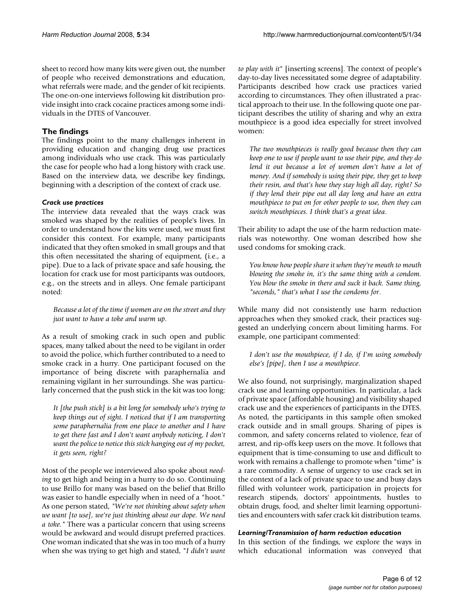sheet to record how many kits were given out, the number of people who received demonstrations and education, what referrals were made, and the gender of kit recipients. The one-on-one interviews following kit distribution provide insight into crack cocaine practices among some individuals in the DTES of Vancouver.

## **The findings**

The findings point to the many challenges inherent in providing education and changing drug use practices among individuals who use crack. This was particularly the case for people who had a long history with crack use. Based on the interview data, we describe key findings, beginning with a description of the context of crack use.

#### *Crack use practices*

The interview data revealed that the ways crack was smoked was shaped by the realities of people's lives. In order to understand how the kits were used, we must first consider this context. For example, many participants indicated that they often smoked in small groups and that this often necessitated the sharing of equipment, (i.e., a pipe). Due to a lack of private space and safe housing, the location for crack use for most participants was outdoors, e.g., on the streets and in alleys. One female participant noted:

*Because a lot of the time if women are on the street and they just want to have a toke and warm up*.

As a result of smoking crack in such open and public spaces, many talked about the need to be vigilant in order to avoid the police, which further contributed to a need to smoke crack in a hurry. One participant focused on the importance of being discrete with paraphernalia and remaining vigilant in her surroundings. She was particularly concerned that the push stick in the kit was too long:

*It [the push stick] is a bit long for somebody who's trying to keep things out of sight. I noticed that if I am transporting some paraphernalia from one place to another and I have to get there fast and I don't want anybody noticing, I don't want the police to notice this stick hanging out of my pocket, it gets seen, right?*

Most of the people we interviewed also spoke about *needing* to get high and being in a hurry to do so. Continuing to use Brillo for many was based on the belief that Brillo was easier to handle especially when in need of a "hoot." As one person stated, *"We're not thinking about safety when we want [to use], we're just thinking about our dope. We need a toke."* There was a particular concern that using screens would be awkward and would disrupt preferred practices. One woman indicated that she was in too much of a hurry when she was trying to get high and stated, "*I didn't want*

*to play with it*" [inserting screens]. The context of people's day-to-day lives necessitated some degree of adaptability. Participants described how crack use practices varied according to circumstances. They often illustrated a practical approach to their use. In the following quote one participant describes the utility of sharing and why an extra mouthpiece is a good idea especially for street involved women:

*The two mouthpieces is really good because then they can keep one to use if people want to use their pipe, and they do lend it out because a lot of women don't have a lot of money. And if somebody is using their pipe, they get to keep their resin, and that's how they stay high all day, right? So if they lend their pipe out all day long and have an extra mouthpiece to put on for other people to use, then they can switch mouthpieces. I think that's a great idea*.

Their ability to adapt the use of the harm reduction materials was noteworthy. One woman described how she used condoms for smoking crack.

*You know how people share it when they're mouth to mouth blowing the smoke in, it's the same thing with a condom. You blow the smoke in there and suck it back. Same thing, "seconds," that's what I use the condoms for*.

While many did not consistently use harm reduction approaches when they smoked crack, their practices suggested an underlying concern about limiting harms. For example, one participant commented:

*I don't use the mouthpiece, if I do, if I'm using somebody else's [pipe], then I use a mouthpiece*.

We also found, not surprisingly, marginalization shaped crack use and learning opportunities. In particular, a lack of private space (affordable housing) and visibility shaped crack use and the experiences of participants in the DTES. As noted, the participants in this sample often smoked crack outside and in small groups. Sharing of pipes is common, and safety concerns related to violence, fear of arrest, and rip-offs keep users on the move. It follows that equipment that is time-consuming to use and difficult to work with remains a challenge to promote when "time" is a rare commodity. A sense of urgency to use crack set in the context of a lack of private space to use and busy days filled with volunteer work, participation in projects for research stipends, doctors' appointments, hustles to obtain drugs, food, and shelter limit learning opportunities and encounters with safer crack kit distribution teams.

#### *Learning/Transmission of harm reduction education*

In this section of the findings, we explore the ways in which educational information was conveyed that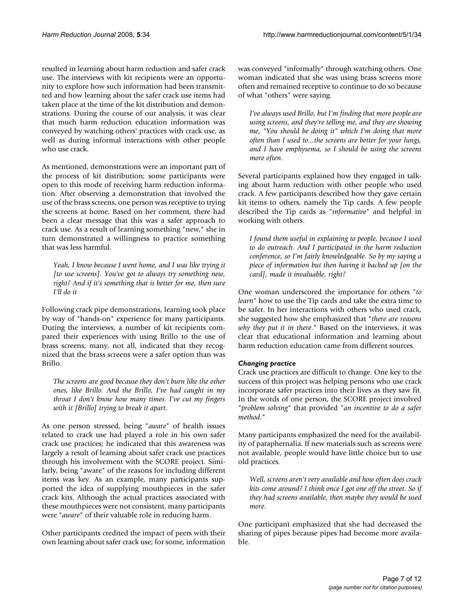resulted in learning about harm reduction and safer crack use. The interviews with kit recipients were an opportunity to explore how such information had been transmitted and how learning about the safer crack use items had taken place at the time of the kit distribution and demonstrations. During the course of our analysis, it was clear that much harm reduction education information was conveyed by watching others' practices with crack use, as well as during informal interactions with other people who use crack.

As mentioned, demonstrations were an important part of the process of kit distribution; some participants were open to this mode of receiving harm reduction information. After observing a demonstration that involved the use of the brass screens, one person was receptive to trying the screens at home. Based on her comment, there had been a clear message that this was a safer approach to crack use. As a result of learning something "new," she in turn demonstrated a willingness to practice something that was less harmful.

*Yeah, I know because I went home, and I was like trying it [to use screens]. You've got to always try something new, right? And if it's something that is better for me, then sure I'll do it*

Following crack pipe demonstrations, learning took place by way of "hands-on" experience for many participants. During the interviews, a number of kit recipients compared their experiences with using Brillo to the use of brass screens; many, not all, indicated that they recognized that the brass screens were a safer option than was Brillo.

*The screens are good because they don't burn like the other ones, like Brillo. And the Brillo, I've had caught in my throat I don't know how many times. I've cut my fingers with it [Brillo] trying to break it apart*.

As one person stressed, being "*aware*" of health issues related to crack use had played a role in his own safer crack use practices; he indicated that this awareness was largely a result of learning about safer crack use practices through his involvement with the SCORE project. Similarly, being "aware" of the reasons for including different items was key. As an example, many participants supported the idea of supplying mouthpieces in the safer crack kits. Although the actual practices associated with these mouthpieces were not consistent, many participants were "*aware*" of their valuable role in reducing harm.

Other participants credited the impact of peers with their own learning about safer crack use; for some, information was conveyed "informally" through watching others. One woman indicated that she was using brass screens more often and remained receptive to continue to do so because of what "others" were saying.

*I've always used Brillo, but I'm finding that more people are using screens, and they're telling me, and they are showing me, "You should be doing it" which I'm doing that more often than I used to...the screens are better for your lungs, and I have emphysema, so I should be using the screens more often*.

Several participants explained how they engaged in talking about harm reduction with other people who used crack. A few participants described how they gave certain kit items to others, namely the Tip cards. A few people described the Tip cards as "*informative*" and helpful in working with others.

*I found them useful in explaining to people, because I used to do outreach. And I participated in the harm reduction conference, so I'm fairly knowledgeable. So by my saying a piece of information but then having it backed up [on the card], made it invaluable, right?*

One woman underscored the importance for others "*to learn*" how to use the Tip cards and take the extra time to be safer. In her interactions with others who used crack, she suggested how she emphasized that "*there are reasons why they put it in there*." Based on the interviews, it was clear that educational information and learning about harm reduction education came from different sources.

#### *Changing practice*

Crack use practices are difficult to change. One key to the success of this project was helping persons who use crack incorporate safer practices into their lives as they saw fit. In the words of one person, the SCORE project involved "*problem solving*" that provided "*an incentive to do a safer method*."

Many participants emphasized the need for the availability of paraphernalia. If new materials such as screens were not available, people would have little choice but to use old practices.

*Well, screens aren't very available and how often does crack kits come around? I think once I got one off the street. So if they had screens available, then maybe they would be used more*.

One participant emphasized that she had decreased the sharing of pipes because pipes had become more available.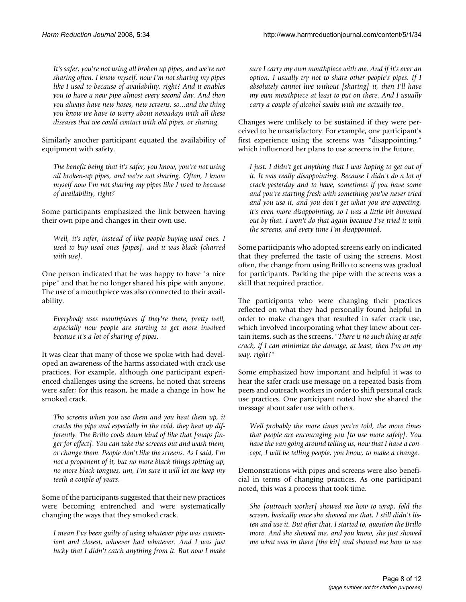*It's safer, you're not using all broken up pipes, and we're not sharing often. I know myself, now I'm not sharing my pipes like I used to because of availability, right? And it enables you to have a new pipe almost every second day. And then you always have new hoses, new screens, so...and the thing you know we have to worry about nowadays with all these diseases that we could contact with old pipes, or sharing*.

Similarly another participant equated the availability of equipment with safety.

*The benefit being that it's safer, you know, you're not using all broken-up pipes, and we're not sharing. Often, I know myself now I'm not sharing my pipes like I used to because of availability, right?*

Some participants emphasized the link between having their own pipe and changes in their own use.

*Well, it's safer, instead of like people buying used ones. I used to buy used ones [pipes], and it was black [charred with use]*.

One person indicated that he was happy to have "a nice pipe" and that he no longer shared his pipe with anyone. The use of a mouthpiece was also connected to their availability.

*Everybody uses mouthpieces if they're there, pretty well, especially now people are starting to get more involved because it's a lot of sharing of pipes*.

It was clear that many of those we spoke with had developed an awareness of the harms associated with crack use practices. For example, although one participant experienced challenges using the screens, he noted that screens were safer; for this reason, he made a change in how he smoked crack.

*The screens when you use them and you heat them up, it cracks the pipe and especially in the cold, they heat up differently. The Brillo cools down kind of like that [snaps finger for effect]. You can take the screens out and wash them, or change them. People don't like the screens. As I said, I'm not a proponent of it, but no more black things spitting up, no more black tongues, um, I'm sure it will let me keep my teeth a couple of years*.

Some of the participants suggested that their new practices were becoming entrenched and were systematically changing the ways that they smoked crack.

*I mean I've been guilty of using whatever pipe was convenient and closest, whoever had whatever. And I was just lucky that I didn't catch anything from it. But now I make* *sure I carry my own mouthpiece with me. And if it's ever an option, I usually try not to share other people's pipes. If I absolutely cannot live without [sharing] it, then I'll have my own mouthpiece at least to put on there. And I usually carry a couple of alcohol swabs with me actually too*.

Changes were unlikely to be sustained if they were perceived to be unsatisfactory. For example, one participant's first experience using the screens was "disappointing," which influenced her plans to use screens in the future.

*I just, I didn't get anything that I was hoping to get out of it. It was really disappointing. Because I didn't do a lot of crack yesterday and to have, sometimes if you have some and you're starting fresh with something you've never tried and you use it, and you don't get what you are expecting, it's even more disappointing, so I was a little bit bummed out by that. I won't do that again because I've tried it with the screens, and every time I'm disappointed*.

Some participants who adopted screens early on indicated that they preferred the taste of using the screens. Most often, the change from using Brillo to screens was gradual for participants. Packing the pipe with the screens was a skill that required practice.

The participants who were changing their practices reflected on what they had personally found helpful in order to make changes that resulted in safer crack use, which involved incorporating what they knew about certain items, such as the screens. "*There is no such thing as safe crack, if I can minimize the damage, at least, then I'm on my way, right?*"

Some emphasized how important and helpful it was to hear the safer crack use message on a repeated basis from peers and outreach workers in order to shift personal crack use practices. One participant noted how she shared the message about safer use with others.

*Well probably the more times you're told, the more times that people are encouraging you [to use more safely]. You have the van going around telling us, now that I have a concept, I will be telling people, you know, to make a change*.

Demonstrations with pipes and screens were also beneficial in terms of changing practices. As one participant noted, this was a process that took time.

*She [outreach worker] showed me how to wrap, fold the screen, basically once she showed me that, I still didn't listen and use it. But after that, I started to, question the Brillo more. And she showed me, and you know, she just showed me what was in there [the kit] and showed me how to use*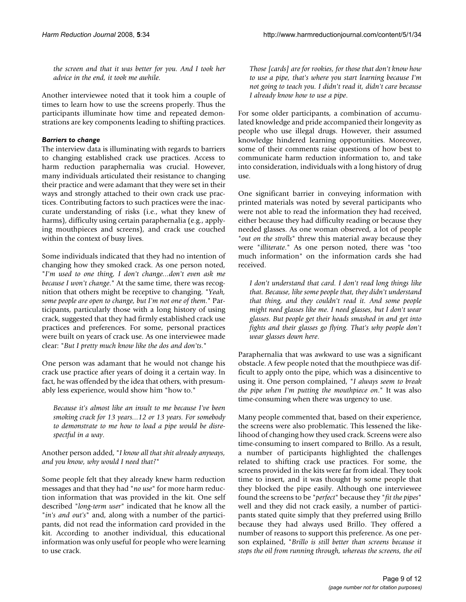*the screen and that it was better for you. And I took her advice in the end, it took me awhile*.

Another interviewee noted that it took him a couple of times to learn how to use the screens properly. Thus the participants illuminate how time and repeated demonstrations are key components leading to shifting practices.

#### *Barriers to change*

The interview data is illuminating with regards to barriers to changing established crack use practices. Access to harm reduction paraphernalia was crucial. However, many individuals articulated their resistance to changing their practice and were adamant that they were set in their ways and strongly attached to their own crack use practices. Contributing factors to such practices were the inaccurate understanding of risks (i.e., what they knew of harms), difficulty using certain paraphernalia (e.g., applying mouthpieces and screens), and crack use couched within the context of busy lives.

Some individuals indicated that they had no intention of changing how they smoked crack. As one person noted, "*I'm used to one thing, I don't change...don't even ask me because I won't change*." At the same time, there was recognition that others might be receptive to changing. "*Yeah, some people are open to change, but I'm not one of them*." Participants, particularly those with a long history of using crack, suggested that they had firmly established crack use practices and preferences. For some, personal practices were built on years of crack use. As one interviewee made clear: "*But I pretty much know like the dos and don'ts*."

One person was adamant that he would not change his crack use practice after years of doing it a certain way. In fact, he was offended by the idea that others, with presumably less experience, would show him "how to."

*Because it's almost like an insult to me because I've been smoking crack for 13 years...12 or 13 years. For somebody to demonstrate to me how to load a pipe would be disrespectful in a way*.

Another person added, "*I know all that shit already anyways, and you know, why would I need that?*"

Some people felt that they already knew harm reduction messages and that they had "*no use*" for more harm reduction information that was provided in the kit. One self described "*long-term user*" indicated that he know all the "*in's and out's*" and, along with a number of the participants, did not read the information card provided in the kit. According to another individual, this educational information was only useful for people who were learning to use crack.

*Those [cards] are for rookies, for those that don't know how to use a pipe, that's where you start learning because I'm not going to teach you. I didn't read it, didn't care because I already know how to use a pipe*.

For some older participants, a combination of accumulated knowledge and pride accompanied their longevity as people who use illegal drugs. However, their assumed knowledge hindered learning opportunities. Moreover, some of their comments raise questions of how best to communicate harm reduction information to, and take into consideration, individuals with a long history of drug use.

One significant barrier in conveying information with printed materials was noted by several participants who were not able to read the information they had received, either because they had difficulty reading or because they needed glasses. As one woman observed, a lot of people "*out on the strolls*" threw this material away because they were "*illiterate*." As one person noted, there was "too much information" on the information cards she had received.

*I don't understand that card. I don't read long things like that. Because, like some people that, they didn't understand that thing, and they couldn't read it. And some people might need glasses like me. I need glasses, but I don't wear glasses. But people get their heads smashed in and get into fights and their glasses go flying. That's why people don't wear glasses down here*.

Paraphernalia that was awkward to use was a significant obstacle. A few people noted that the mouthpiece was difficult to apply onto the pipe, which was a disincentive to using it. One person complained, "*I always seem to break the pipe when I'm putting the mouthpiece on*." It was also time-consuming when there was urgency to use.

Many people commented that, based on their experience, the screens were also problematic. This lessened the likelihood of changing how they used crack. Screens were also time-consuming to insert compared to Brillo. As a result, a number of participants highlighted the challenges related to shifting crack use practices. For some, the screens provided in the kits were far from ideal. They took time to insert, and it was thought by some people that they blocked the pipe easily. Although one interviewee found the screens to be "*perfect*" because they "*fit the pipes*" well and they did not crack easily, a number of participants stated quite simply that they preferred using Brillo because they had always used Brillo. They offered a number of reasons to support this preference. As one person explained, "*Brillo is still better than screens because it stops the oil from running through, whereas the screens, the oil*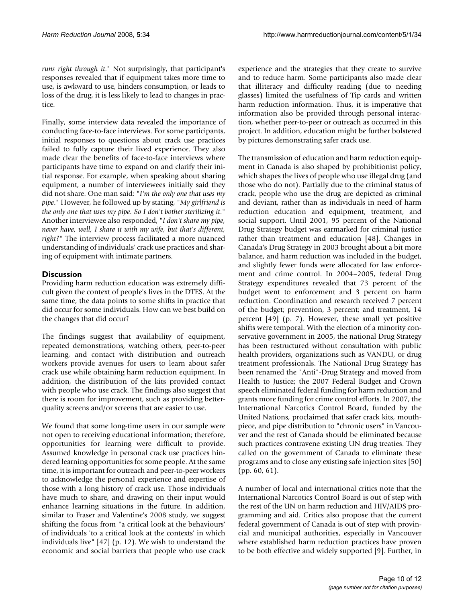*runs right through it*." Not surprisingly, that participant's responses revealed that if equipment takes more time to use, is awkward to use, hinders consumption, or leads to loss of the drug, it is less likely to lead to changes in practice.

Finally, some interview data revealed the importance of conducting face-to-face interviews. For some participants, initial responses to questions about crack use practices failed to fully capture their lived experience. They also made clear the benefits of face-to-face interviews where participants have time to expand on and clarify their initial response. For example, when speaking about sharing equipment, a number of interviewees initially said they did not share. One man said: "*I'm the only one that uses my pipe*." However, he followed up by stating, "*My girlfriend is the only one that uses my pipe. So I don't bother sterilizing it*." Another interviewee also responded, "*I don't share my pipe, never have, well, I share it with my wife, but that's different, right?*" The interview process facilitated a more nuanced understanding of individuals' crack use practices and sharing of equipment with intimate partners.

## **Discussion**

Providing harm reduction education was extremely difficult given the context of people's lives in the DTES. At the same time, the data points to some shifts in practice that did occur for some individuals. How can we best build on the changes that did occur?

The findings suggest that availability of equipment, repeated demonstrations, watching others, peer-to-peer learning, and contact with distribution and outreach workers provide avenues for users to learn about safer crack use while obtaining harm reduction equipment. In addition, the distribution of the kits provided contact with people who use crack. The findings also suggest that there is room for improvement, such as providing betterquality screens and/or screens that are easier to use.

We found that some long-time users in our sample were not open to receiving educational information; therefore, opportunities for learning were difficult to provide. Assumed knowledge in personal crack use practices hindered learning opportunities for some people. At the same time, it is important for outreach and peer-to-peer workers to acknowledge the personal experience and expertise of those with a long history of crack use. Those individuals have much to share, and drawing on their input would enhance learning situations in the future. In addition, similar to Fraser and Valentine's 2008 study, we suggest shifting the focus from "a critical look at the behaviours' of individuals 'to a critical look at the contexts' in which individuals live" [47] (p. 12). We wish to understand the economic and social barriers that people who use crack experience and the strategies that they create to survive and to reduce harm. Some participants also made clear that illiteracy and difficulty reading (due to needing glasses) limited the usefulness of Tip cards and written harm reduction information. Thus, it is imperative that information also be provided through personal interaction, whether peer-to-peer or outreach as occurred in this project. In addition, education might be further bolstered by pictures demonstrating safer crack use.

The transmission of education and harm reduction equipment in Canada is also shaped by prohibitionist policy, which shapes the lives of people who use illegal drug (and those who do not). Partially due to the criminal status of crack, people who use the drug are depicted as criminal and deviant, rather than as individuals in need of harm reduction education and equipment, treatment, and social support. Until 2001, 95 percent of the National Drug Strategy budget was earmarked for criminal justice rather than treatment and education [48]. Changes in Canada's Drug Strategy in 2003 brought about a bit more balance, and harm reduction was included in the budget, and slightly fewer funds were allocated for law enforcement and crime control. In 2004–2005, federal Drug Strategy expenditures revealed that 73 percent of the budget went to enforcement and 3 percent on harm reduction. Coordination and research received 7 percent of the budget; prevention, 3 percent; and treatment, 14 percent [49] (p. 7). However, these small yet positive shifts were temporal. With the election of a minority conservative government in 2005, the national Drug Strategy has been restructured without consultation with public health providers, organizations such as VANDU, or drug treatment professionals. The National Drug Strategy has been renamed the "Anti"-Drug Strategy and moved from Health to Justice; the 2007 Federal Budget and Crown speech eliminated federal funding for harm reduction and grants more funding for crime control efforts. In 2007, the International Narcotics Control Board, funded by the United Nations, proclaimed that safer crack kits, mouthpiece, and pipe distribution to "chronic users" in Vancouver and the rest of Canada should be eliminated because such practices contravene existing UN drug treaties. They called on the government of Canada to eliminate these programs and to close any existing safe injection sites [50] (pp. 60, 61).

A number of local and international critics note that the International Narcotics Control Board is out of step with the rest of the UN on harm reduction and HIV/AIDS programming and aid. Critics also propose that the current federal government of Canada is out of step with provincial and municipal authorities, especially in Vancouver where established harm reduction practices have proven to be both effective and widely supported [9]. Further, in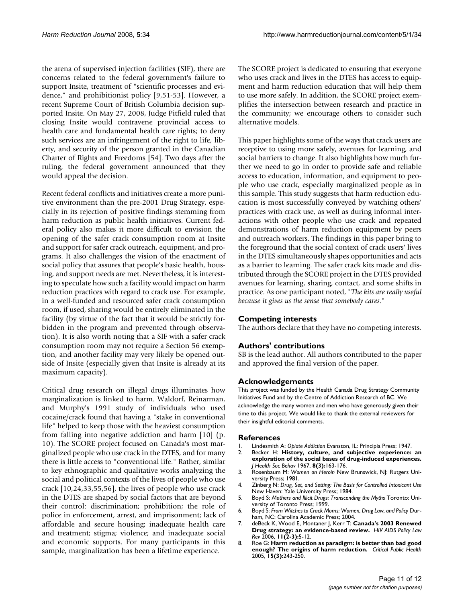the arena of supervised injection facilities (SIF), there are concerns related to the federal government's failure to support Insite, treatment of "scientific processes and evidence," and prohibitionist policy [9,51-53]. However, a recent Supreme Court of British Columbia decision supported Insite. On May 27, 2008, Judge Pitfield ruled that closing Insite would contravene provincial access to health care and fundamental health care rights; to deny such services are an infringement of the right to life, liberty, and security of the person granted in the Canadian Charter of Rights and Freedoms [54]. Two days after the ruling, the federal government announced that they would appeal the decision.

Recent federal conflicts and initiatives create a more punitive environment than the pre-2001 Drug Strategy, especially in its rejection of positive findings stemming from harm reduction as public health initiatives. Current federal policy also makes it more difficult to envision the opening of the safer crack consumption room at Insite and support for safer crack outreach, equipment, and programs. It also challenges the vision of the enactment of social policy that assures that people's basic health, housing, and support needs are met. Nevertheless, it is interesting to speculate how such a facility would impact on harm reduction practices with regard to crack use. For example, in a well-funded and resourced safer crack consumption room, if used, sharing would be entirely eliminated in the facility (by virtue of the fact that it would be strictly forbidden in the program and prevented through observation). It is also worth noting that a SIF with a safer crack consumption room may not require a Section 56 exemption, and another facility may very likely be opened outside of Insite (especially given that Insite is already at its maximum capacity).

Critical drug research on illegal drugs illuminates how marginalization is linked to harm. Waldorf, Reinarman, and Murphy's 1991 study of individuals who used cocaine/crack found that having a "stake in conventional life" helped to keep those with the heaviest consumption from falling into negative addiction and harm [10] (p. 10). The SCORE project focused on Canada's most marginalized people who use crack in the DTES, and for many there is little access to "conventional life." Rather, similar to key ethnographic and qualitative works analyzing the social and political contexts of the lives of people who use crack [10,24,33,55,56], the lives of people who use crack in the DTES are shaped by social factors that are beyond their control: discrimination; prohibition; the role of police in enforcement, arrest, and imprisonment; lack of affordable and secure housing; inadequate health care and treatment; stigma; violence; and inadequate social and economic supports. For many participants in this sample, marginalization has been a lifetime experience.

The SCORE project is dedicated to ensuring that everyone who uses crack and lives in the DTES has access to equipment and harm reduction education that will help them to use more safely. In addition, the SCORE project exemplifies the intersection between research and practice in the community; we encourage others to consider such alternative models.

This paper highlights some of the ways that crack users are receptive to using more safely, avenues for learning, and social barriers to change. It also highlights how much further we need to go in order to provide safe and reliable access to education, information, and equipment to people who use crack, especially marginalized people as in this sample. This study suggests that harm reduction education is most successfully conveyed by watching others' practices with crack use, as well as during informal interactions with other people who use crack and repeated demonstrations of harm reduction equipment by peers and outreach workers. The findings in this paper bring to the foreground that the social context of crack users' lives in the DTES simultaneously shapes opportunities and acts as a barrier to learning. The safer crack kits made and distributed through the SCORE project in the DTES provided avenues for learning, sharing, contact, and some shifts in practice. As one participant noted, "*The kits are really useful because it gives us the sense that somebody cares*."

#### **Competing interests**

The authors declare that they have no competing interests.

#### **Authors' contributions**

SB is the lead author. All authors contributed to the paper and approved the final version of the paper.

#### **Acknowledgements**

This project was funded by the Health Canada Drug Strategy Community Initiatives Fund and by the Centre of Addiction Research of BC. We acknowledge the many women and men who have generously given their time to this project. We would like to thank the external reviewers for their insightful editorial comments.

#### **References**

- 1. Lindesmith A: *Opiate Addiction* Evanston, IL: Principia Press; 1947.
- 2. Becker H: **[History, culture, and subjective experience: an](http://www.ncbi.nlm.nih.gov/entrez/query.fcgi?cmd=Retrieve&db=PubMed&dopt=Abstract&list_uids=6073200) [exploration of the social bases of drug-induced experiences.](http://www.ncbi.nlm.nih.gov/entrez/query.fcgi?cmd=Retrieve&db=PubMed&dopt=Abstract&list_uids=6073200)** *J Health Soc Behav* 1967, **8(3):**163-176.
- 3. Rosenbaum M: *Women on Heroin* New Brunswick, NJ: Rutgers University Press; 1981.
- 4. Zinberg N: *Drug, Set, and Setting: The Basis for Controlled Intoxicant Use* New Haven: Yale University Press; 1984.
- 5. Boyd S: *Mothers and Illicit Drugs: Transcending the Myths* Toronto: University of Toronto Press; 1999.
- 6. Boyd S: *From Witches to Crack Moms: Women, Drug Law, and Policy* Durham, NC: Carolina Academic Press; 2004.
- 7. deBeck K, Wood E, Montaner J, Kerr T: **Canada's 2003 Renewed Drug strategy: an evidence-based review.** *HIV AIDS Policy Law Rev* 2006, **11(2-3):**5-12.
- 8. Roe G: **Harm reduction as paradigm: is better than bad good enough? The origins of harm reduction.** *Critical Public Health* 2005, **15(3):**243-250.